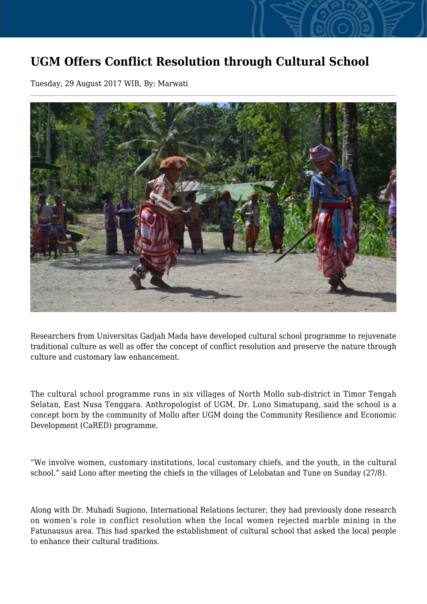## **UGM Offers Conflict Resolution through Cultural School**

Tuesday, 29 August 2017 WIB, By: Marwati



Researchers from Universitas Gadjah Mada have developed cultural school programme to rejuvenate traditional culture as well as offer the concept of conflict resolution and preserve the nature through culture and customary law enhancement.

The cultural school programme runs in six villages of North Mollo sub-district in Timor Tengah Selatan, East Nusa Tenggara. Anthropologist of UGM, Dr. Lono Simatupang, said the school is a concept born by the community of Mollo after UGM doing the Community Resilience and Economic Development (CaRED) programme.

"We involve women, customary institutions, local customary chiefs, and the youth, in the cultural school," said Lono after meeting the chiefs in the villages of Lelobatan and Tune on Sunday (27/8).

Along with Dr. Muhadi Sugiono, International Relations lecturer, they had previously done research on women's role in conflict resolution when the local women rejected marble mining in the Fatunausus area. This had sparked the establishment of cultural school that asked the local people to enhance their cultural traditions.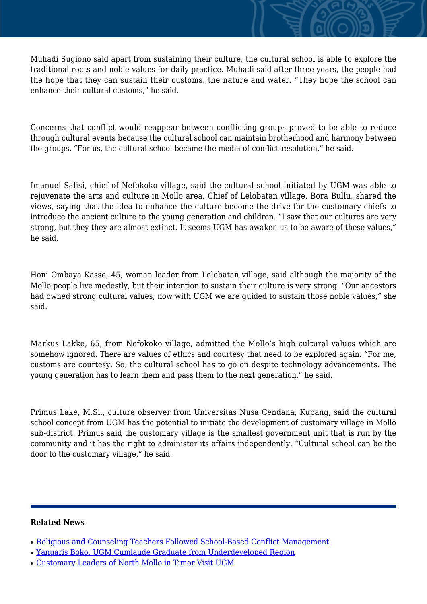Muhadi Sugiono said apart from sustaining their culture, the cultural school is able to explore the traditional roots and noble values for daily practice. Muhadi said after three years, the people had the hope that they can sustain their customs, the nature and water. "They hope the school can enhance their cultural customs," he said.

Concerns that conflict would reappear between conflicting groups proved to be able to reduce through cultural events because the cultural school can maintain brotherhood and harmony between the groups. "For us, the cultural school became the media of conflict resolution," he said.

Imanuel Salisi, chief of Nefokoko village, said the cultural school initiated by UGM was able to rejuvenate the arts and culture in Mollo area. Chief of Lelobatan village, Bora Bullu, shared the views, saying that the idea to enhance the culture become the drive for the customary chiefs to introduce the ancient culture to the young generation and children. "I saw that our cultures are very strong, but they they are almost extinct. It seems UGM has awaken us to be aware of these values," he said.

Honi Ombaya Kasse, 45, woman leader from Lelobatan village, said although the majority of the Mollo people live modestly, but their intention to sustain their culture is very strong. "Our ancestors had owned strong cultural values, now with UGM we are guided to sustain those noble values," she said.

Markus Lakke, 65, from Nefokoko village, admitted the Mollo's high cultural values which are somehow ignored. There are values of ethics and courtesy that need to be explored again. "For me, customs are courtesy. So, the cultural school has to go on despite technology advancements. The young generation has to learn them and pass them to the next generation," he said.

Primus Lake, M.Si., culture observer from Universitas Nusa Cendana, Kupang, said the cultural school concept from UGM has the potential to initiate the development of customary village in Mollo sub-district. Primus said the customary village is the smallest government unit that is run by the community and it has the right to administer its affairs independently. "Cultural school can be the door to the customary village," he said.

## **Related News**

- [Religious and Counseling Teachers Followed School-Based Conflict Management](http://ugm.ac.id/www.ugm.ac.id//en/news/14801-customary-leaders-of-north-mollo-in-timor-visit-ugm)
- [Yanuaris Boko, UGM Cumlaude Graduate from Underdeveloped Region](http://ugm.ac.id/www.ugm.ac.id//en/news/6771-governance-negotiation-as-alternative-to-overcome-the-mindanao-conflict)
- [Customary Leaders of North Mollo in Timor Visit UGM](http://ugm.ac.id/www.ugm.ac.id//en/news/14923-religion-brings-peace-not-war-lecture)